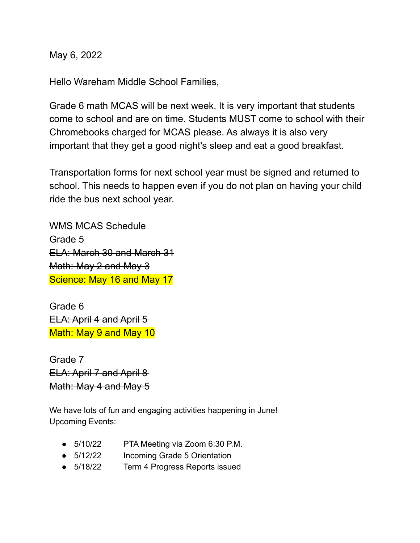May 6, 2022

Hello Wareham Middle School Families,

Grade 6 math MCAS will be next week. It is very important that students come to school and are on time. Students MUST come to school with their Chromebooks charged for MCAS please. As always it is also very important that they get a good night's sleep and eat a good breakfast.

Transportation forms for next school year must be signed and returned to school. This needs to happen even if you do not plan on having your child ride the bus next school year.

WMS MCAS Schedule Grade 5 ELA: March 30 and March 31 Math: May 2 and May 3 Science: May 16 and May 17

Grade 6 ELA: April 4 and April 5 Math: May 9 and May 10

Grade 7 ELA: April 7 and April 8 Math: May 4 and May 5

We have lots of fun and engaging activities happening in June! Upcoming Events:

- 5/10/22 PTA Meeting via Zoom 6:30 P.M.
- 5/12/22 Incoming Grade 5 Orientation
- 5/18/22 Term 4 Progress Reports issued